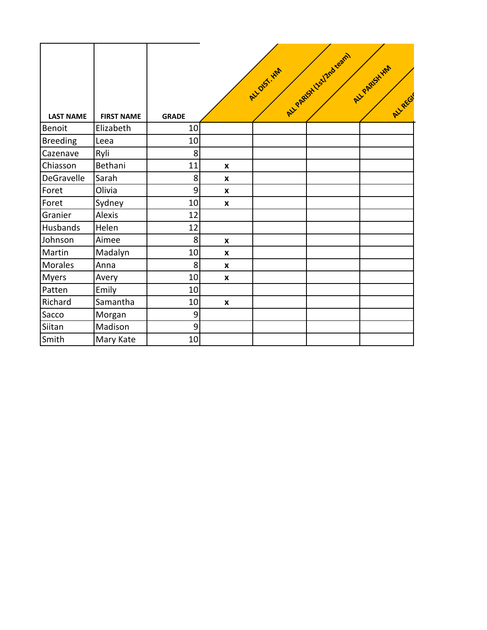| <b>LAST NAME</b> | <b>FIRST NAME</b> | <b>GRADE</b>   |                    | ALL DIST. HM | ALL PARISH ISSI Protegram | ALL PARISH HM<br>ALLAEGY |
|------------------|-------------------|----------------|--------------------|--------------|---------------------------|--------------------------|
| <b>Benoit</b>    | Elizabeth         | 10             |                    |              |                           |                          |
| <b>Breeding</b>  | Leea              | 10             |                    |              |                           |                          |
| Cazenave         | Ryli              | 8              |                    |              |                           |                          |
| Chiasson         | Bethani           | 11             | $\pmb{\mathsf{x}}$ |              |                           |                          |
| DeGravelle       | Sarah             | 8 <sup>1</sup> | $\pmb{\mathsf{x}}$ |              |                           |                          |
| Foret            | Olivia            | $\overline{9}$ | $\pmb{\mathsf{x}}$ |              |                           |                          |
| Foret            | Sydney            | 10             | $\boldsymbol{x}$   |              |                           |                          |
| Granier          | Alexis            | 12             |                    |              |                           |                          |
| Husbands         | Helen             | 12             |                    |              |                           |                          |
| Johnson          | Aimee             | 8              | $\boldsymbol{x}$   |              |                           |                          |
| Martin           | Madalyn           | 10             | $\pmb{\mathsf{X}}$ |              |                           |                          |
| Morales          | Anna              | 8              | $\pmb{\mathsf{X}}$ |              |                           |                          |
| <b>Myers</b>     | Avery             | 10             | $\mathbf{x}$       |              |                           |                          |
| Patten           | Emily             | 10             |                    |              |                           |                          |
| Richard          | Samantha          | 10             | $\boldsymbol{x}$   |              |                           |                          |
| Sacco            | Morgan            | $\overline{9}$ |                    |              |                           |                          |
| Siitan           | Madison           | $\overline{9}$ |                    |              |                           |                          |
| Smith            | Mary Kate         | 10             |                    |              |                           |                          |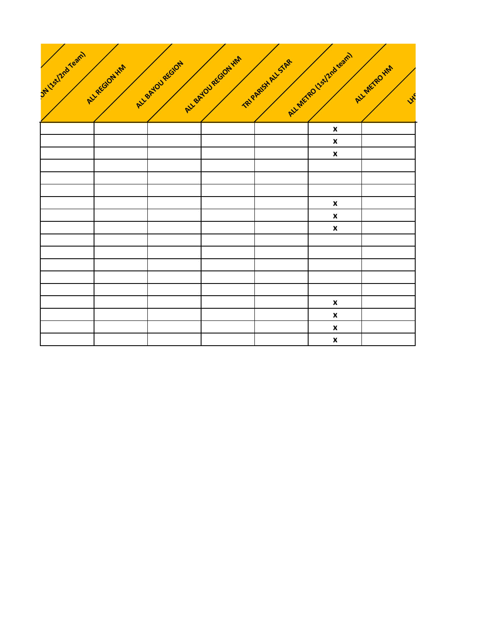

|  |  | $\pmb{\mathsf{x}}$ |  |
|--|--|--------------------|--|
|  |  | $\pmb{\mathsf{x}}$ |  |
|  |  | $\pmb{\mathsf{x}}$ |  |
|  |  |                    |  |
|  |  |                    |  |
|  |  |                    |  |
|  |  | $\pmb{\mathsf{x}}$ |  |
|  |  | $\pmb{\mathsf{x}}$ |  |
|  |  | $\pmb{\mathsf{x}}$ |  |
|  |  |                    |  |
|  |  |                    |  |
|  |  |                    |  |
|  |  |                    |  |
|  |  |                    |  |
|  |  | $\pmb{\mathsf{x}}$ |  |
|  |  | $\pmb{\mathsf{x}}$ |  |
|  |  | $\pmb{\mathsf{x}}$ |  |
|  |  | $\pmb{\mathsf{x}}$ |  |